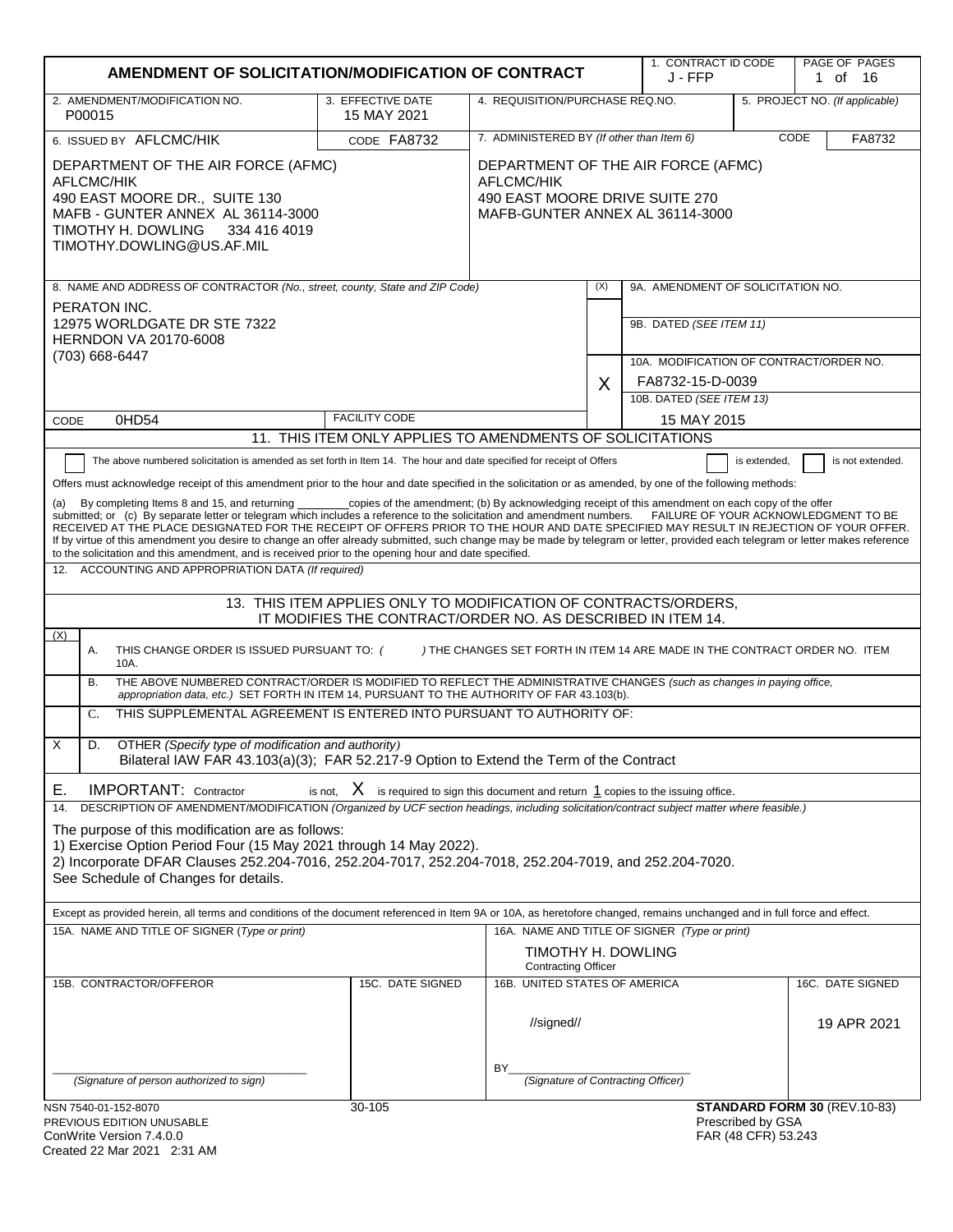| AMENDMENT OF SOLICITATION/MODIFICATION OF CONTRACT                                                                                                                                                                                                                                                                                                                                                                                                                                                                                                                                                                                                                                                                                                                                                                                                                                                                                                                                                                                                                                                                                                                                                                                                                                                                                                                                                                                                                                                                                                                                                                                                                                                                                                                                                                                                                                          |                                                                                                                       |                                                        |     | 1. CONTRACT ID CODE<br>J - FFP                                     |                                          | PAGE OF PAGES<br>1 of 16       |
|---------------------------------------------------------------------------------------------------------------------------------------------------------------------------------------------------------------------------------------------------------------------------------------------------------------------------------------------------------------------------------------------------------------------------------------------------------------------------------------------------------------------------------------------------------------------------------------------------------------------------------------------------------------------------------------------------------------------------------------------------------------------------------------------------------------------------------------------------------------------------------------------------------------------------------------------------------------------------------------------------------------------------------------------------------------------------------------------------------------------------------------------------------------------------------------------------------------------------------------------------------------------------------------------------------------------------------------------------------------------------------------------------------------------------------------------------------------------------------------------------------------------------------------------------------------------------------------------------------------------------------------------------------------------------------------------------------------------------------------------------------------------------------------------------------------------------------------------------------------------------------------------|-----------------------------------------------------------------------------------------------------------------------|--------------------------------------------------------|-----|--------------------------------------------------------------------|------------------------------------------|--------------------------------|
| 2. AMENDMENT/MODIFICATION NO.<br>P00015                                                                                                                                                                                                                                                                                                                                                                                                                                                                                                                                                                                                                                                                                                                                                                                                                                                                                                                                                                                                                                                                                                                                                                                                                                                                                                                                                                                                                                                                                                                                                                                                                                                                                                                                                                                                                                                     | 3. EFFECTIVE DATE<br>4. REQUISITION/PURCHASE REQ.NO.<br>15 MAY 2021                                                   |                                                        |     |                                                                    |                                          | 5. PROJECT NO. (If applicable) |
| 6. ISSUED BY AFLCMC/HIK                                                                                                                                                                                                                                                                                                                                                                                                                                                                                                                                                                                                                                                                                                                                                                                                                                                                                                                                                                                                                                                                                                                                                                                                                                                                                                                                                                                                                                                                                                                                                                                                                                                                                                                                                                                                                                                                     | CODE FA8732                                                                                                           | 7. ADMINISTERED BY (If other than Item 6)              |     |                                                                    |                                          | CODE<br>FA8732                 |
| DEPARTMENT OF THE AIR FORCE (AFMC)<br>AFLCMC/HIK<br>490 EAST MOORE DR., SUITE 130<br>MAFB - GUNTER ANNEX AL 36114-3000<br>TIMOTHY H. DOWLING<br>334 416 4019<br>TIMOTHY.DOWLING@US.AF.MIL                                                                                                                                                                                                                                                                                                                                                                                                                                                                                                                                                                                                                                                                                                                                                                                                                                                                                                                                                                                                                                                                                                                                                                                                                                                                                                                                                                                                                                                                                                                                                                                                                                                                                                   | DEPARTMENT OF THE AIR FORCE (AFMC)<br>AFLCMC/HIK<br>490 EAST MOORE DRIVE SUITE 270<br>MAFB-GUNTER ANNEX AL 36114-3000 |                                                        |     |                                                                    |                                          |                                |
| 8. NAME AND ADDRESS OF CONTRACTOR (No., street, county, State and ZIP Code)                                                                                                                                                                                                                                                                                                                                                                                                                                                                                                                                                                                                                                                                                                                                                                                                                                                                                                                                                                                                                                                                                                                                                                                                                                                                                                                                                                                                                                                                                                                                                                                                                                                                                                                                                                                                                 |                                                                                                                       |                                                        | (X) | 9A. AMENDMENT OF SOLICITATION NO.                                  |                                          |                                |
| PERATON INC.<br>12975 WORLDGATE DR STE 7322<br><b>HERNDON VA 20170-6008</b><br>(703) 668-6447                                                                                                                                                                                                                                                                                                                                                                                                                                                                                                                                                                                                                                                                                                                                                                                                                                                                                                                                                                                                                                                                                                                                                                                                                                                                                                                                                                                                                                                                                                                                                                                                                                                                                                                                                                                               |                                                                                                                       |                                                        |     | 9B. DATED (SEE ITEM 11)<br>10A. MODIFICATION OF CONTRACT/ORDER NO. |                                          |                                |
|                                                                                                                                                                                                                                                                                                                                                                                                                                                                                                                                                                                                                                                                                                                                                                                                                                                                                                                                                                                                                                                                                                                                                                                                                                                                                                                                                                                                                                                                                                                                                                                                                                                                                                                                                                                                                                                                                             |                                                                                                                       |                                                        | X   | FA8732-15-D-0039                                                   |                                          |                                |
|                                                                                                                                                                                                                                                                                                                                                                                                                                                                                                                                                                                                                                                                                                                                                                                                                                                                                                                                                                                                                                                                                                                                                                                                                                                                                                                                                                                                                                                                                                                                                                                                                                                                                                                                                                                                                                                                                             |                                                                                                                       |                                                        |     | 10B. DATED (SEE ITEM 13)                                           |                                          |                                |
| 0HD54<br>CODE                                                                                                                                                                                                                                                                                                                                                                                                                                                                                                                                                                                                                                                                                                                                                                                                                                                                                                                                                                                                                                                                                                                                                                                                                                                                                                                                                                                                                                                                                                                                                                                                                                                                                                                                                                                                                                                                               | <b>FACILITY CODE</b>                                                                                                  |                                                        |     | 15 MAY 2015                                                        |                                          |                                |
| The above numbered solicitation is amended as set forth in Item 14. The hour and date specified for receipt of Offers                                                                                                                                                                                                                                                                                                                                                                                                                                                                                                                                                                                                                                                                                                                                                                                                                                                                                                                                                                                                                                                                                                                                                                                                                                                                                                                                                                                                                                                                                                                                                                                                                                                                                                                                                                       | 11. THIS ITEM ONLY APPLIES TO AMENDMENTS OF SOLICITATIONS                                                             |                                                        |     |                                                                    | is extended.                             | is not extended.               |
| Offers must acknowledge receipt of this amendment prior to the hour and date specified in the solicitation or as amended, by one of the following methods:<br>By completing Items 8 and 15, and returning __________copies of the amendment; (b) By acknowledging receipt of this amendment on each copy of the offer<br>(a)<br>submitted; or (c) By separate letter or telegram which includes a reference to the solicitation and amendment numbers. FAILURE OF YOUR ACKNOWLEDGMENT TO BE<br>RECEIVED AT THE PLACE DESIGNATED FOR THE RECEIPT OF OFFERS PRIOR TO THE HOUR AND DATE SPECIFIED MAY RESULT IN REJECTION OF YOUR OFFER.<br>If by virtue of this amendment you desire to change an offer already submitted, such change may be made by telegram or letter, provided each telegram or letter makes reference<br>to the solicitation and this amendment, and is received prior to the opening hour and date specified.<br>ACCOUNTING AND APPROPRIATION DATA (If required)<br>12.<br>13. THIS ITEM APPLIES ONLY TO MODIFICATION OF CONTRACTS/ORDERS,<br>IT MODIFIES THE CONTRACT/ORDER NO. AS DESCRIBED IN ITEM 14.<br>(X)<br>THIS CHANGE ORDER IS ISSUED PURSUANT TO: (<br>) THE CHANGES SET FORTH IN ITEM 14 ARE MADE IN THE CONTRACT ORDER NO. ITEM<br>А.<br>10A.<br>THE ABOVE NUMBERED CONTRACT/ORDER IS MODIFIED TO REFLECT THE ADMINISTRATIVE CHANGES (such as changes in paying office,<br>В.<br>appropriation data, etc.) SET FORTH IN ITEM 14, PURSUANT TO THE AUTHORITY OF FAR 43.103(b).<br>THIS SUPPLEMENTAL AGREEMENT IS ENTERED INTO PURSUANT TO AUTHORITY OF:<br>C.<br>X<br>OTHER (Specify type of modification and authority)<br>D.<br>Bilateral IAW FAR 43.103(a)(3); FAR 52.217-9 Option to Extend the Term of the Contract<br>is not, $X$ is required to sign this document and return $1$ copies to the issuing office.<br>Е.<br><b>IMPORTANT:</b> Contractor |                                                                                                                       |                                                        |     |                                                                    |                                          |                                |
| The purpose of this modification are as follows:<br>1) Exercise Option Period Four (15 May 2021 through 14 May 2022).<br>2) Incorporate DFAR Clauses 252.204-7016, 252.204-7017, 252.204-7018, 252.204-7019, and 252.204-7020.<br>See Schedule of Changes for details.<br>Except as provided herein, all terms and conditions of the document referenced in Item 9A or 10A, as heretofore changed, remains unchanged and in full force and effect.<br>15A. NAME AND TITLE OF SIGNER (Type or print)                                                                                                                                                                                                                                                                                                                                                                                                                                                                                                                                                                                                                                                                                                                                                                                                                                                                                                                                                                                                                                                                                                                                                                                                                                                                                                                                                                                         |                                                                                                                       | TIMOTHY H. DOWLING<br><b>Contracting Officer</b>       |     | 16A. NAME AND TITLE OF SIGNER (Type or print)                      |                                          |                                |
| 15B. CONTRACTOR/OFFEROR                                                                                                                                                                                                                                                                                                                                                                                                                                                                                                                                                                                                                                                                                                                                                                                                                                                                                                                                                                                                                                                                                                                                                                                                                                                                                                                                                                                                                                                                                                                                                                                                                                                                                                                                                                                                                                                                     | 15C. DATE SIGNED                                                                                                      | 16B. UNITED STATES OF AMERICA                          |     |                                                                    |                                          | 16C. DATE SIGNED               |
| (Signature of person authorized to sign)                                                                                                                                                                                                                                                                                                                                                                                                                                                                                                                                                                                                                                                                                                                                                                                                                                                                                                                                                                                                                                                                                                                                                                                                                                                                                                                                                                                                                                                                                                                                                                                                                                                                                                                                                                                                                                                    |                                                                                                                       | //signed//<br>BY<br>(Signature of Contracting Officer) |     |                                                                    |                                          | 19 APR 2021                    |
| NSN 7540-01-152-8070                                                                                                                                                                                                                                                                                                                                                                                                                                                                                                                                                                                                                                                                                                                                                                                                                                                                                                                                                                                                                                                                                                                                                                                                                                                                                                                                                                                                                                                                                                                                                                                                                                                                                                                                                                                                                                                                        | 30-105                                                                                                                |                                                        |     |                                                                    |                                          | STANDARD FORM 30 (REV.10-83)   |
| PREVIOUS EDITION UNUSABLE<br>ConWrite Version 7.4.0.0<br>Created 22 Mar 2021 2:31 AM                                                                                                                                                                                                                                                                                                                                                                                                                                                                                                                                                                                                                                                                                                                                                                                                                                                                                                                                                                                                                                                                                                                                                                                                                                                                                                                                                                                                                                                                                                                                                                                                                                                                                                                                                                                                        |                                                                                                                       |                                                        |     |                                                                    | Prescribed by GSA<br>FAR (48 CFR) 53.243 |                                |

| ConWrite Version 7.4.0.0    |  |
|-----------------------------|--|
| Created 22 Mar 2021 2:31 AM |  |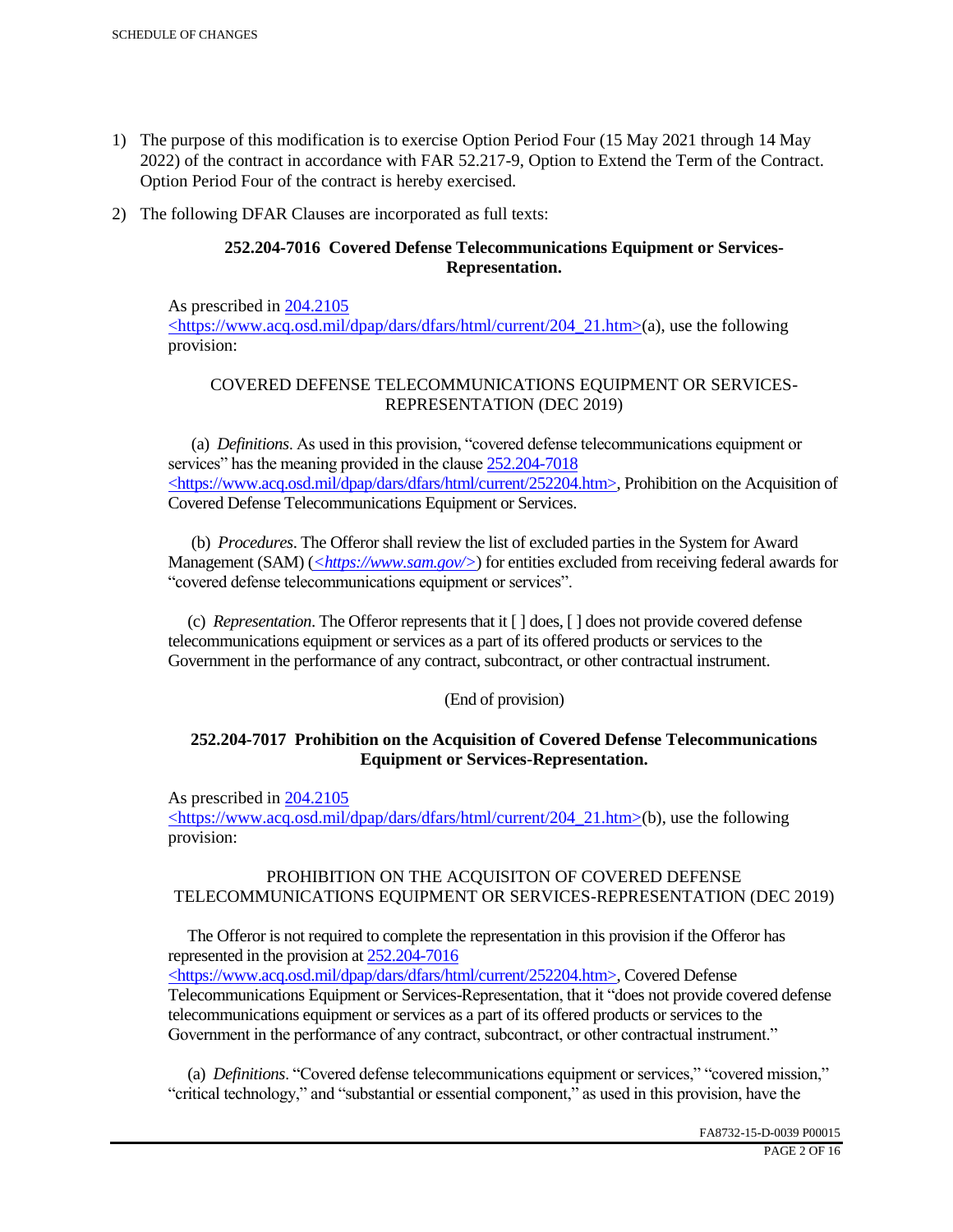- 1) The purpose of this modification is to exercise Option Period Four (15 May 2021 through 14 May 2022) of the contract in accordance with FAR 52.217-9, Option to Extend the Term of the Contract. Option Period Four of the contract is hereby exercised.
- 2) The following DFAR Clauses are incorporated as full texts:

# **252.204-7016 Covered Defense Telecommunications Equipment or Services-Representation.**

As prescribed in 204.2105 <https://www.acq.osd.mil/dpap/dars/dfars/html/current/204\_21.htm>(a), use the following provision:

# COVERED DEFENSE TELECOMMUNICATIONS EQUIPMENT OR SERVICES-REPRESENTATION (DEC 2019)

 (a) *Definitions*. As used in this provision, "covered defense telecommunications equipment or services" has the meaning provided in the clause  $252.204 - 7018$ <https://www.acq.osd.mil/dpap/dars/dfars/html/current/252204.htm>, Prohibition on the Acquisition of Covered Defense Telecommunications Equipment or Services.

 (b) *Procedures*. The Offeror shall review the list of excluded parties in the System for Award Management (SAM) (*<https://www.sam.gov/>*) for entities excluded from receiving federal awards for "covered defense telecommunications equipment or services".

 (c) *Representation*. The Offeror represents that it [ ] does, [ ] does not provide covered defense telecommunications equipment or services as a part of its offered products or services to the Government in the performance of any contract, subcontract, or other contractual instrument.

# (End of provision)

# **252.204-7017 Prohibition on the Acquisition of Covered Defense Telecommunications Equipment or Services-Representation.**

As prescribed in 204.2105

<https://www.acq.osd.mil/dpap/dars/dfars/html/current/204\_21.htm>(b), use the following provision:

# PROHIBITION ON THE ACQUISITON OF COVERED DEFENSE TELECOMMUNICATIONS EQUIPMENT OR SERVICES-REPRESENTATION (DEC 2019)

 The Offeror is not required to complete the representation in this provision if the Offeror has represented in the provision at 252.204-7016

<https://www.acq.osd.mil/dpap/dars/dfars/html/current/252204.htm>, Covered Defense Telecommunications Equipment or Services-Representation, that it "does not provide covered defense telecommunications equipment or services as a part of its offered products or services to the Government in the performance of any contract, subcontract, or other contractual instrument."

 (a) *Definitions*. "Covered defense telecommunications equipment or services," "covered mission," "critical technology," and "substantial or essential component," as used in this provision, have the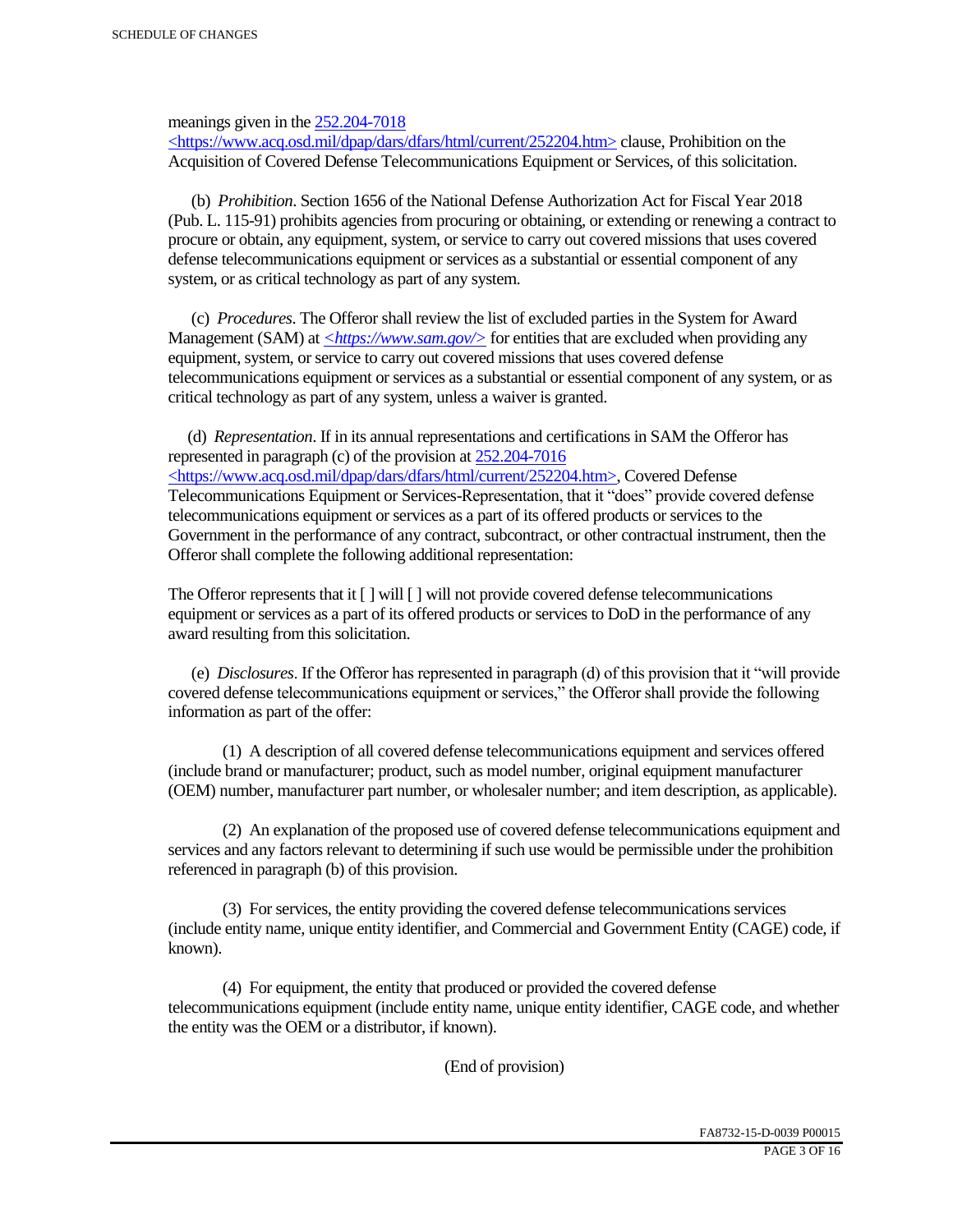meanings given in the 252.204-7018

 $\langle$ https://www.acq.osd.mil/dpap/dars/dfars/html/current/252204.htm> clause, Prohibition on the Acquisition of Covered Defense Telecommunications Equipment or Services, of this solicitation.

 (b) *Prohibition*. Section 1656 of the National Defense Authorization Act for Fiscal Year 2018 (Pub. L. 115-91) prohibits agencies from procuring or obtaining, or extending or renewing a contract to procure or obtain, any equipment, system, or service to carry out covered missions that uses covered defense telecommunications equipment or services as a substantial or essential component of any system, or as critical technology as part of any system.

 (c) *Procedures*. The Offeror shall review the list of excluded parties in the System for Award Management (SAM) at  $\leq$ https://www.sam.gov/> for entities that are excluded when providing any equipment, system, or service to carry out covered missions that uses covered defense telecommunications equipment or services as a substantial or essential component of any system, or as critical technology as part of any system, unless a waiver is granted.

 (d) *Representation*. If in its annual representations and certifications in SAM the Offeror has represented in paragraph (c) of the provision at 252.204-7016 <https://www.acq.osd.mil/dpap/dars/dfars/html/current/252204.htm>, Covered Defense Telecommunications Equipment or Services-Representation, that it "does" provide covered defense telecommunications equipment or services as a part of its offered products or services to the Government in the performance of any contract, subcontract, or other contractual instrument, then the Offeror shall complete the following additional representation:

The Offeror represents that it  $\lceil \cdot \rceil$  will  $\lceil \cdot \rceil$  will not provide covered defense telecommunications equipment or services as a part of its offered products or services to DoD in the performance of any award resulting from this solicitation.

 (e) *Disclosures*. If the Offeror has represented in paragraph (d) of this provision that it "will provide covered defense telecommunications equipment or services," the Offeror shall provide the following information as part of the offer:

 (1) A description of all covered defense telecommunications equipment and services offered (include brand or manufacturer; product, such as model number, original equipment manufacturer (OEM) number, manufacturer part number, or wholesaler number; and item description, as applicable).

 (2) An explanation of the proposed use of covered defense telecommunications equipment and services and any factors relevant to determining if such use would be permissible under the prohibition referenced in paragraph (b) of this provision.

 (3) For services, the entity providing the covered defense telecommunications services (include entity name, unique entity identifier, and Commercial and Government Entity (CAGE) code, if known).

 (4) For equipment, the entity that produced or provided the covered defense telecommunications equipment (include entity name, unique entity identifier, CAGE code, and whether the entity was the OEM or a distributor, if known).

(End of provision)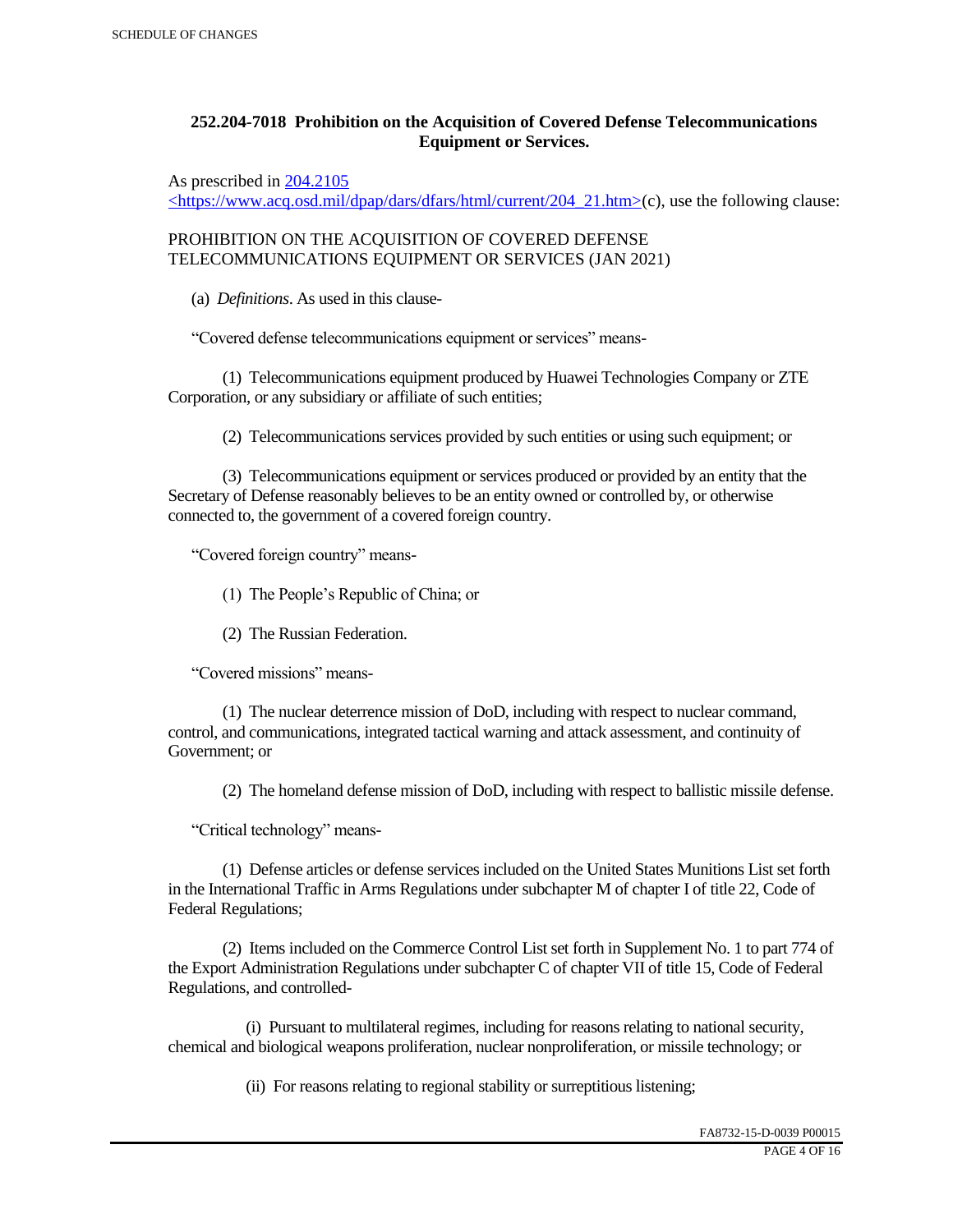# **252.204-7018 Prohibition on the Acquisition of Covered Defense Telecommunications Equipment or Services.**

As prescribed in 204.2105

 $\langle$ https://www.acq.osd.mil/dpap/dars/dfars/html/current/204\_21.htm>(c), use the following clause:

PROHIBITION ON THE ACQUISITION OF COVERED DEFENSE TELECOMMUNICATIONS EQUIPMENT OR SERVICES (JAN 2021)

(a) *Definitions*. As used in this clause-

"Covered defense telecommunications equipment or services" means-

 (1) Telecommunications equipment produced by Huawei Technologies Company or ZTE Corporation, or any subsidiary or affiliate of such entities;

(2) Telecommunications services provided by such entities or using such equipment; or

 (3) Telecommunications equipment or services produced or provided by an entity that the Secretary of Defense reasonably believes to be an entity owned or controlled by, or otherwise connected to, the government of a covered foreign country.

"Covered foreign country" means-

(1) The People's Republic of China; or

(2) The Russian Federation.

"Covered missions" means-

 (1) The nuclear deterrence mission of DoD, including with respect to nuclear command, control, and communications, integrated tactical warning and attack assessment, and continuity of Government; or

(2) The homeland defense mission of DoD, including with respect to ballistic missile defense.

"Critical technology" means-

 (1) Defense articles or defense services included on the United States Munitions List set forth in the International Traffic in Arms Regulations under subchapter M of chapter I of title 22, Code of Federal Regulations;

 (2) Items included on the Commerce Control List set forth in Supplement No. 1 to part 774 of the Export Administration Regulations under subchapter C of chapter VII of title 15, Code of Federal Regulations, and controlled-

 (i) Pursuant to multilateral regimes, including for reasons relating to national security, chemical and biological weapons proliferation, nuclear nonproliferation, or missile technology; or

(ii) For reasons relating to regional stability or surreptitious listening;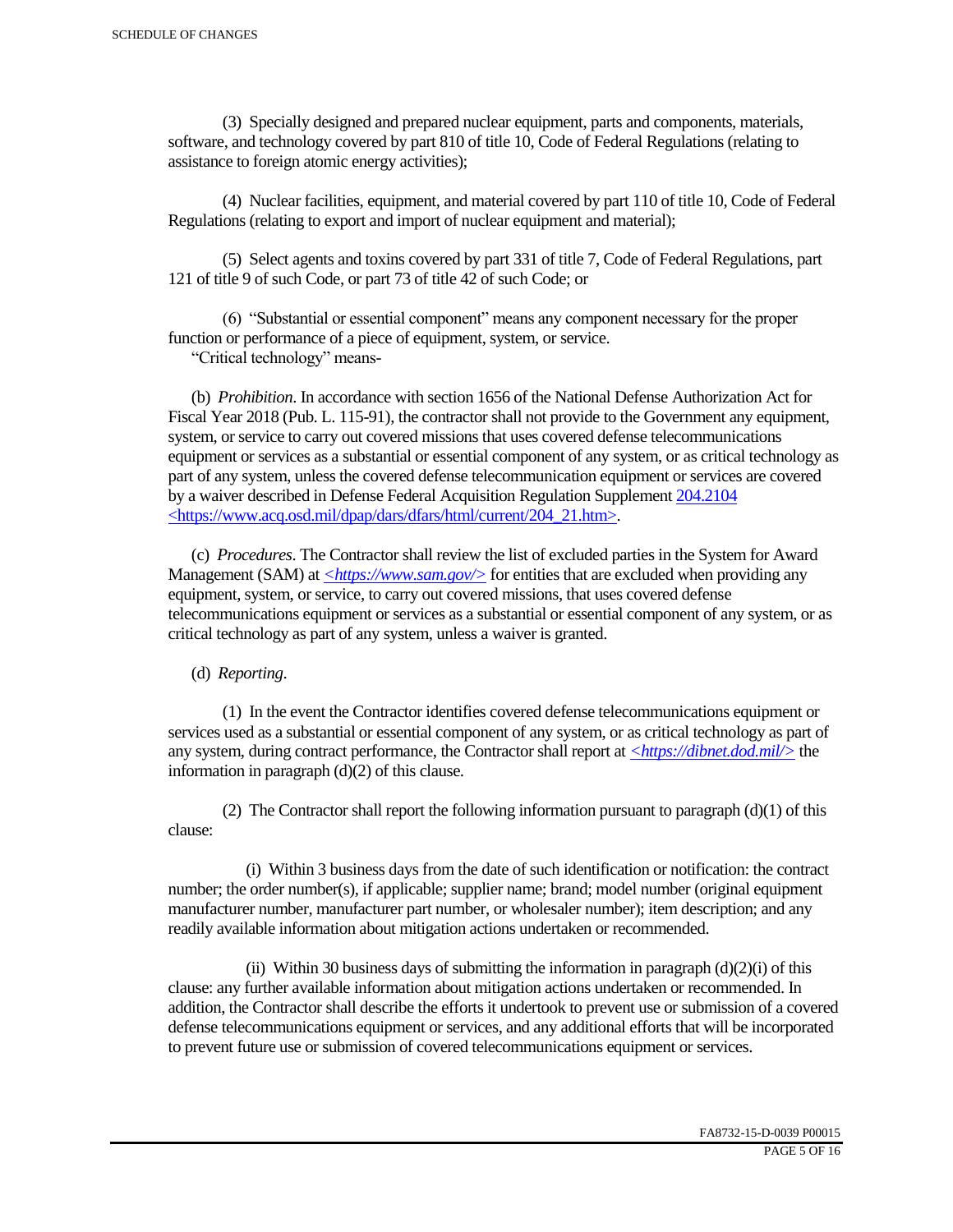(3) Specially designed and prepared nuclear equipment, parts and components, materials, software, and technology covered by part 810 of title 10, Code of Federal Regulations (relating to assistance to foreign atomic energy activities);

 (4) Nuclear facilities, equipment, and material covered by part 110 of title 10, Code of Federal Regulations (relating to export and import of nuclear equipment and material);

 (5) Select agents and toxins covered by part 331 of title 7, Code of Federal Regulations, part 121 of title 9 of such Code, or part 73 of title 42 of such Code; or

 (6) "Substantial or essential component" means any component necessary for the proper function or performance of a piece of equipment, system, or service.

"Critical technology" means-

 (b) *Prohibition*. In accordance with section 1656 of the National Defense Authorization Act for Fiscal Year 2018 (Pub. L. 115-91), the contractor shall not provide to the Government any equipment, system, or service to carry out covered missions that uses covered defense telecommunications equipment or services as a substantial or essential component of any system, or as critical technology as part of any system, unless the covered defense telecommunication equipment or services are covered by a waiver described in Defense Federal Acquisition Regulation Supplement 204.2104 <https://www.acq.osd.mil/dpap/dars/dfars/html/current/204\_21.htm>.

 (c) *Procedures*. The Contractor shall review the list of excluded parties in the System for Award Management (SAM) at  $\langle \frac{https://www.sam.gov/}{>}$  for entities that are excluded when providing any equipment, system, or service, to carry out covered missions, that uses covered defense telecommunications equipment or services as a substantial or essential component of any system, or as critical technology as part of any system, unless a waiver is granted.

(d) *Reporting*.

 (1) In the event the Contractor identifies covered defense telecommunications equipment or services used as a substantial or essential component of any system, or as critical technology as part of any system, during contract performance, the Contractor shall report at *<https://dibnet.dod.mil/>* the information in paragraph (d)(2) of this clause.

(2) The Contractor shall report the following information pursuant to paragraph  $(d)(1)$  of this clause:

 (i) Within 3 business days from the date of such identification or notification: the contract number; the order number(s), if applicable; supplier name; brand; model number (original equipment manufacturer number, manufacturer part number, or wholesaler number); item description; and any readily available information about mitigation actions undertaken or recommended.

(ii) Within 30 business days of submitting the information in paragraph  $(d)(2)(i)$  of this clause: any further available information about mitigation actions undertaken or recommended. In addition, the Contractor shall describe the efforts it undertook to prevent use or submission of a covered defense telecommunications equipment or services, and any additional efforts that will be incorporated to prevent future use or submission of covered telecommunications equipment or services.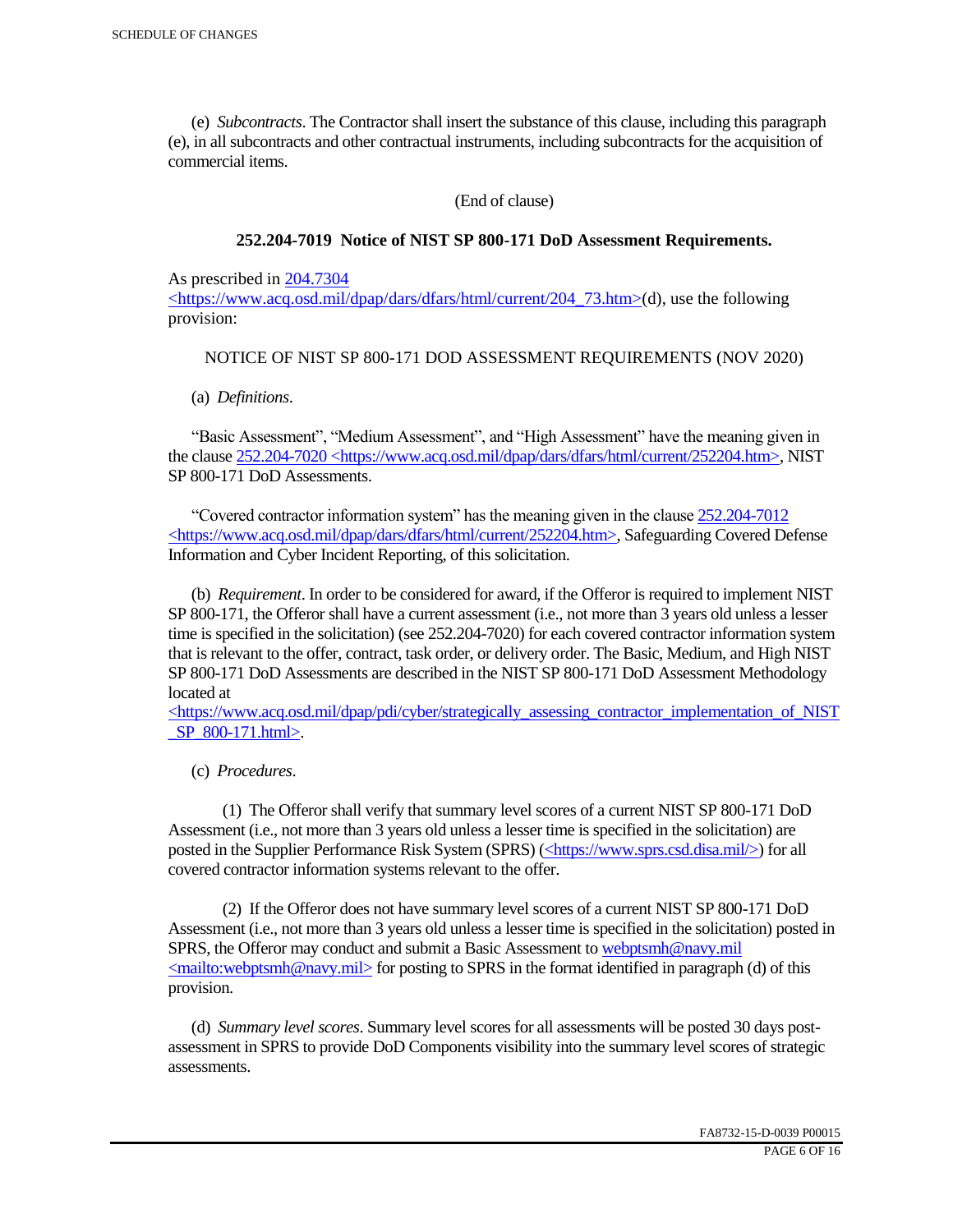(e) *Subcontracts*. The Contractor shall insert the substance of this clause, including this paragraph (e), in all subcontracts and other contractual instruments, including subcontracts for the acquisition of commercial items.

(End of clause)

#### **252.204-7019 Notice of NIST SP 800-171 DoD Assessment Requirements.**

As prescribed in 204.7304

 $\langle$ https://www.acq.osd.mil/dpap/dars/dfars/html/current/204 73.htm>(d), use the following provision:

#### NOTICE OF NIST SP 800-171 DOD ASSESSMENT REQUIREMENTS (NOV 2020)

(a) *Definitions*.

 "Basic Assessment", "Medium Assessment", and "High Assessment" have the meaning given in the clause 252.204-7020 <https://www.acq.osd.mil/dpap/dars/dfars/html/current/252204.htm>, NIST SP 800-171 DoD Assessments.

 "Covered contractor information system" has the meaning given in the clause 252.204-7012 <https://www.acq.osd.mil/dpap/dars/dfars/html/current/252204.htm>, Safeguarding Covered Defense Information and Cyber Incident Reporting, of this solicitation.

 (b) *Requirement*. In order to be considered for award, if the Offeror is required to implement NIST SP 800-171, the Offeror shall have a current assessment (i.e., not more than 3 years old unless a lesser time is specified in the solicitation) (see 252.204-7020) for each covered contractor information system that is relevant to the offer, contract, task order, or delivery order. The Basic, Medium, and High NIST SP 800-171 DoD Assessments are described in the NIST SP 800-171 DoD Assessment Methodology located at

 $\langle$ https://www.acq.osd.mil/dpap/pdi/cyber/strategically\_assessing\_contractor\_implementation\_of\_NIST \_SP\_800-171.html>.

(c) *Procedures*.

 (1) The Offeror shall verify that summary level scores of a current NIST SP 800-171 DoD Assessment (i.e., not more than 3 years old unless a lesser time is specified in the solicitation) are posted in the Supplier Performance Risk System (SPRS) (<https://www.sprs.csd.disa.mil/>) for all covered contractor information systems relevant to the offer.

 (2) If the Offeror does not have summary level scores of a current NIST SP 800-171 DoD Assessment (i.e., not more than 3 years old unless a lesser time is specified in the solicitation) posted in SPRS, the Offeror may conduct and submit a Basic Assessment to webptsmh@navy.mil  $\leq$ mailto:webptsmh@navy.mil> for posting to SPRS in the format identified in paragraph (d) of this provision.

 (d) *Summary level scores*. Summary level scores for all assessments will be posted 30 days postassessment in SPRS to provide DoD Components visibility into the summary level scores of strategic assessments.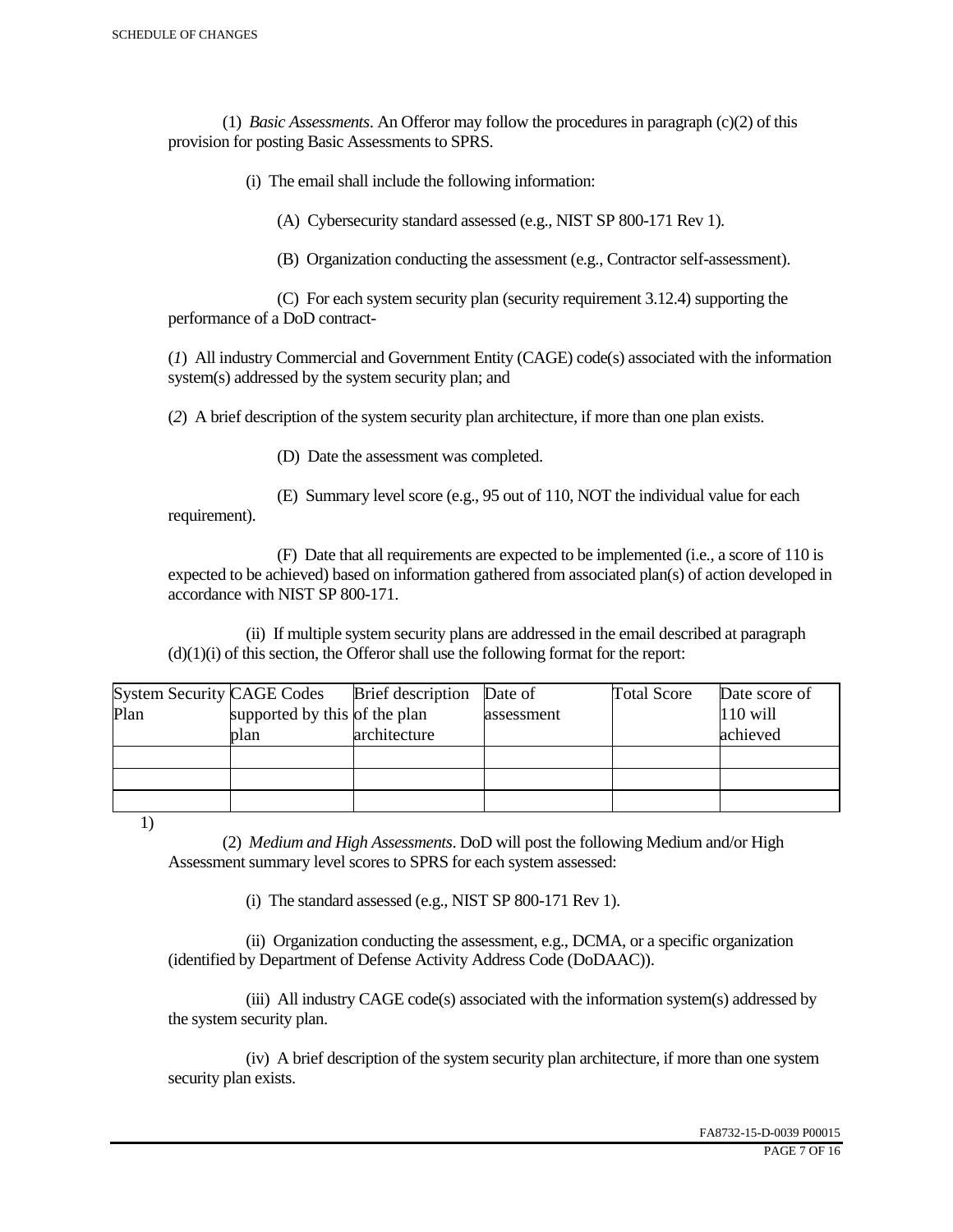(1) *Basic Assessments*. An Offeror may follow the procedures in paragraph (c)(2) of this provision for posting Basic Assessments to SPRS.

(i) The email shall include the following information:

(A) Cybersecurity standard assessed (e.g., NIST SP 800-171 Rev 1).

(B) Organization conducting the assessment (e.g., Contractor self-assessment).

 (C) For each system security plan (security requirement 3.12.4) supporting the performance of a DoD contract-

(*1*) All industry Commercial and Government Entity (CAGE) code(s) associated with the information system(s) addressed by the system security plan; and

(*2*) A brief description of the system security plan architecture, if more than one plan exists.

(D) Date the assessment was completed.

 (E) Summary level score (e.g., 95 out of 110, NOT the individual value for each requirement).

 (F) Date that all requirements are expected to be implemented (i.e., a score of 110 is expected to be achieved) based on information gathered from associated plan(s) of action developed in accordance with NIST SP 800-171.

 (ii) If multiple system security plans are addressed in the email described at paragraph  $(d)(1)(i)$  of this section, the Offeror shall use the following format for the report:

| <b>System Security CAGE Codes</b> |                               | <b>Brief</b> description | Date of    | <b>Total Score</b> | Date score of |
|-----------------------------------|-------------------------------|--------------------------|------------|--------------------|---------------|
| Plan                              | supported by this of the plan |                          | assessment |                    | $110$ will    |
|                                   | plan                          | architecture             |            |                    | achieved      |
|                                   |                               |                          |            |                    |               |
|                                   |                               |                          |            |                    |               |
|                                   |                               |                          |            |                    |               |

1)

 (2) *Medium and High Assessments*. DoD will post the following Medium and/or High Assessment summary level scores to SPRS for each system assessed:

(i) The standard assessed (e.g., NIST SP 800-171 Rev 1).

 (ii) Organization conducting the assessment, e.g., DCMA, or a specific organization (identified by Department of Defense Activity Address Code (DoDAAC)).

 (iii) All industry CAGE code(s) associated with the information system(s) addressed by the system security plan.

 (iv) A brief description of the system security plan architecture, if more than one system security plan exists.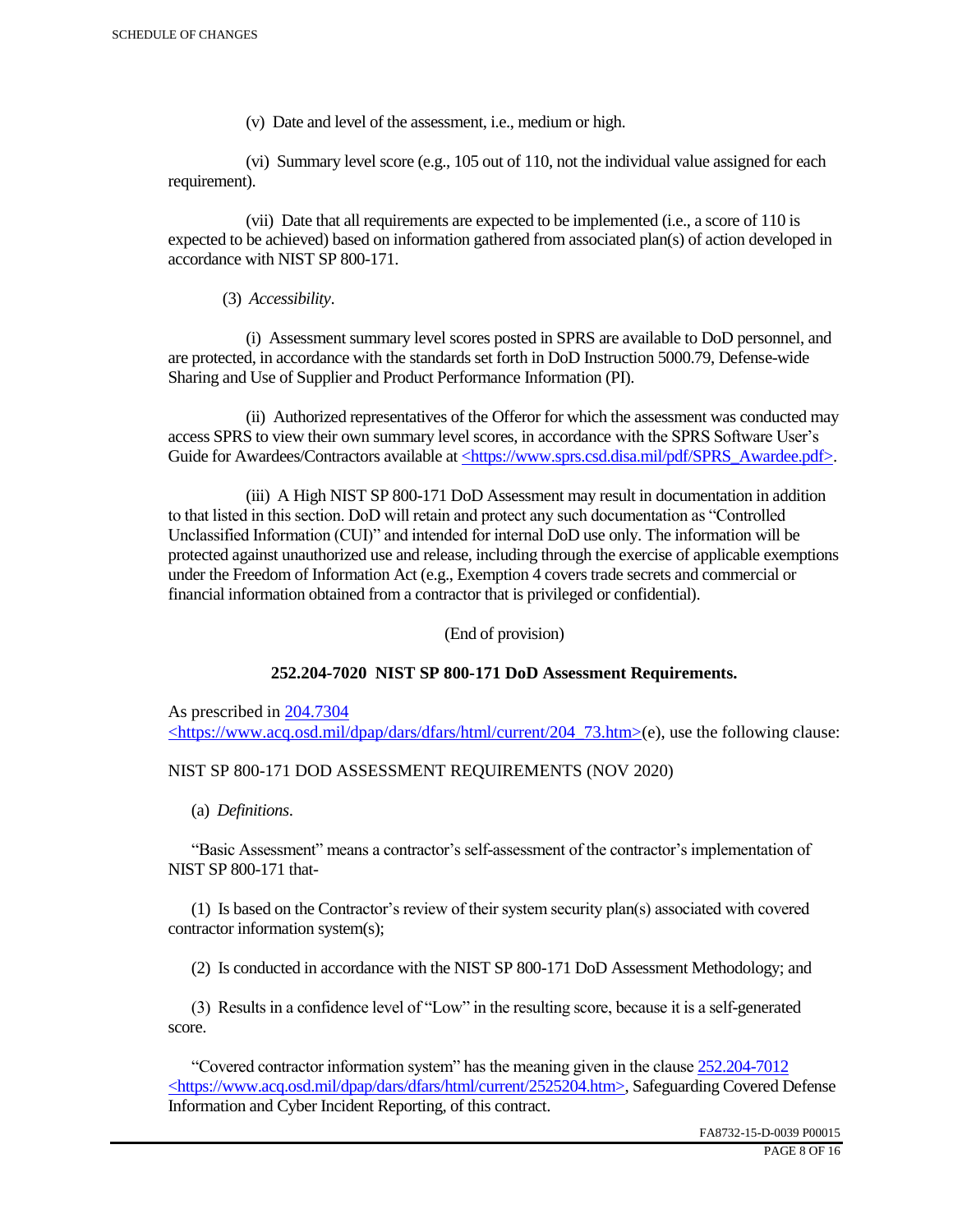(v) Date and level of the assessment, i.e., medium or high.

 (vi) Summary level score (e.g., 105 out of 110, not the individual value assigned for each requirement).

 (vii) Date that all requirements are expected to be implemented (i.e., a score of 110 is expected to be achieved) based on information gathered from associated plan(s) of action developed in accordance with NIST SP 800-171.

(3) *Accessibility*.

 (i) Assessment summary level scores posted in SPRS are available to DoD personnel, and are protected, in accordance with the standards set forth in DoD Instruction 5000.79, Defense-wide Sharing and Use of Supplier and Product Performance Information (PI).

 (ii) Authorized representatives of the Offeror for which the assessment was conducted may access SPRS to view their own summary level scores, in accordance with the SPRS Software User's Guide for Awardees/Contractors available at <https://www.sprs.csd.disa.mil/pdf/SPRS\_Awardee.pdf>.

 (iii) A High NIST SP 800-171 DoD Assessment may result in documentation in addition to that listed in this section. DoD will retain and protect any such documentation as "Controlled Unclassified Information (CUI)" and intended for internal DoD use only. The information will be protected against unauthorized use and release, including through the exercise of applicable exemptions under the Freedom of Information Act (e.g., Exemption 4 covers trade secrets and commercial or financial information obtained from a contractor that is privileged or confidential).

(End of provision)

# **252.204-7020 NIST SP 800-171 DoD Assessment Requirements.**

As prescribed in 204.7304 <https://www.acq.osd.mil/dpap/dars/dfars/html/current/204\_73.htm>(e), use the following clause:

# NIST SP 800-171 DOD ASSESSMENT REQUIREMENTS (NOV 2020)

(a) *Definitions*.

 "Basic Assessment" means a contractor's self-assessment of the contractor's implementation of NIST SP 800-171 that-

 (1) Is based on the Contractor's review of their system security plan(s) associated with covered contractor information system(s);

(2) Is conducted in accordance with the NIST SP 800-171 DoD Assessment Methodology; and

 (3) Results in a confidence level of "Low" in the resulting score, because it is a self-generated score.

 "Covered contractor information system" has the meaning given in the clause 252.204-7012 <https://www.acq.osd.mil/dpap/dars/dfars/html/current/2525204.htm>, Safeguarding Covered Defense Information and Cyber Incident Reporting, of this contract.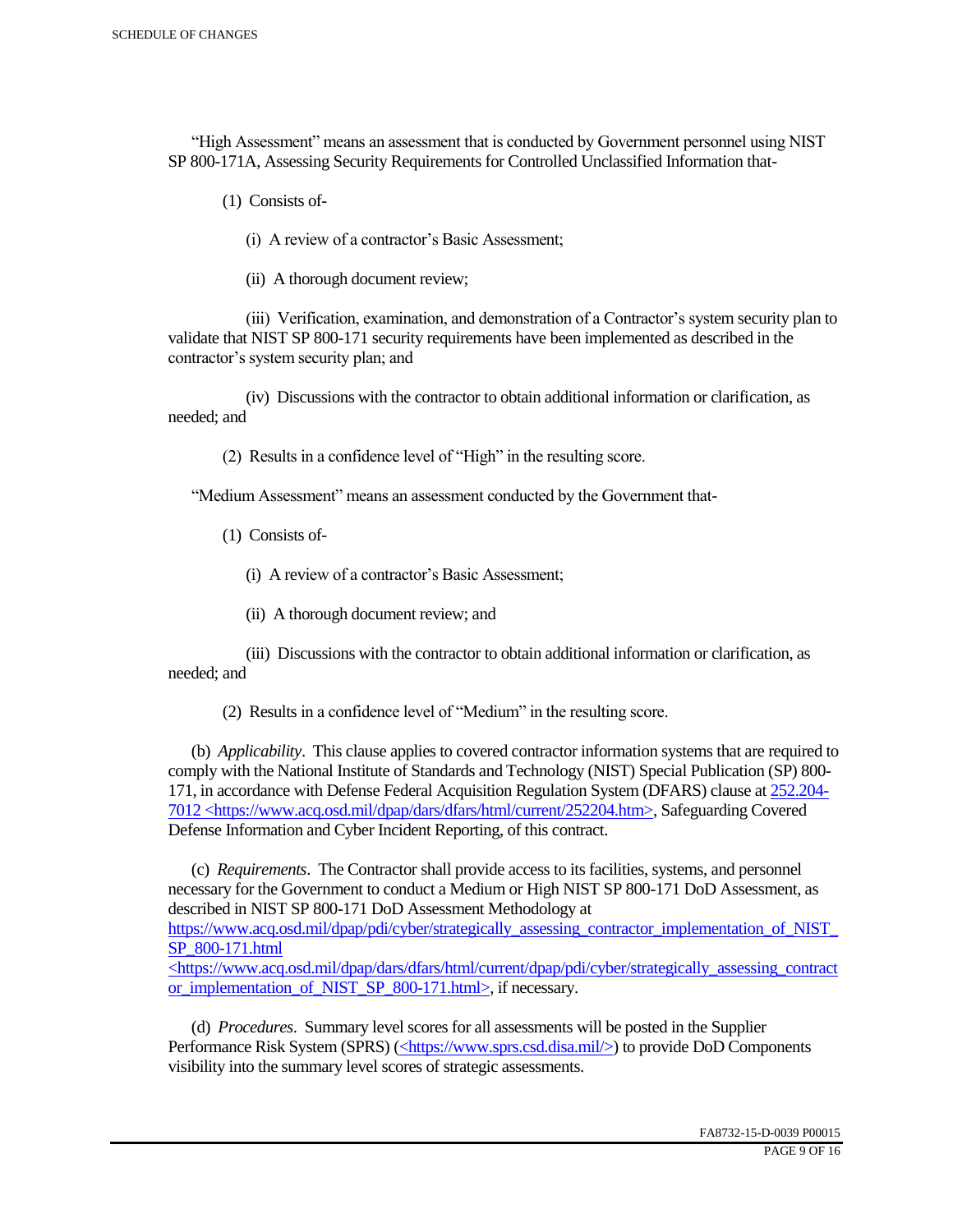"High Assessment" means an assessment that is conducted by Government personnel using NIST SP 800-171A, Assessing Security Requirements for Controlled Unclassified Information that-

(1) Consists of-

(i) A review of a contractor's Basic Assessment;

(ii) A thorough document review;

 (iii) Verification, examination, and demonstration of a Contractor's system security plan to validate that NIST SP 800-171 security requirements have been implemented as described in the contractor's system security plan; and

 (iv) Discussions with the contractor to obtain additional information or clarification, as needed; and

(2) Results in a confidence level of "High" in the resulting score.

"Medium Assessment" means an assessment conducted by the Government that-

(1) Consists of-

(i) A review of a contractor's Basic Assessment;

(ii) A thorough document review; and

 (iii) Discussions with the contractor to obtain additional information or clarification, as needed; and

(2) Results in a confidence level of "Medium" in the resulting score.

 (b) *Applicability*. This clause applies to covered contractor information systems that are required to comply with the National Institute of Standards and Technology (NIST) Special Publication (SP) 800- 171, in accordance with Defense Federal Acquisition Regulation System (DFARS) clause at 252.204- 7012 <https://www.acq.osd.mil/dpap/dars/dfars/html/current/252204.htm>, Safeguarding Covered Defense Information and Cyber Incident Reporting, of this contract.

 (c) *Requirements*. The Contractor shall provide access to its facilities, systems, and personnel necessary for the Government to conduct a Medium or High NIST SP 800-171 DoD Assessment, as described in NIST SP 800-171 DoD Assessment Methodology at https://www.acq.osd.mil/dpap/pdi/cyber/strategically\_assessing\_contractor\_implementation\_of\_NIST\_ SP\_800-171.html <https://www.acq.osd.mil/dpap/dars/dfars/html/current/dpap/pdi/cyber/strategically\_assessing\_contract

or implementation of NIST SP 800-171.html>, if necessary.

 (d) *Procedures*. Summary level scores for all assessments will be posted in the Supplier Performance Risk System (SPRS) (<https://www.sprs.csd.disa.mil/>) to provide DoD Components visibility into the summary level scores of strategic assessments.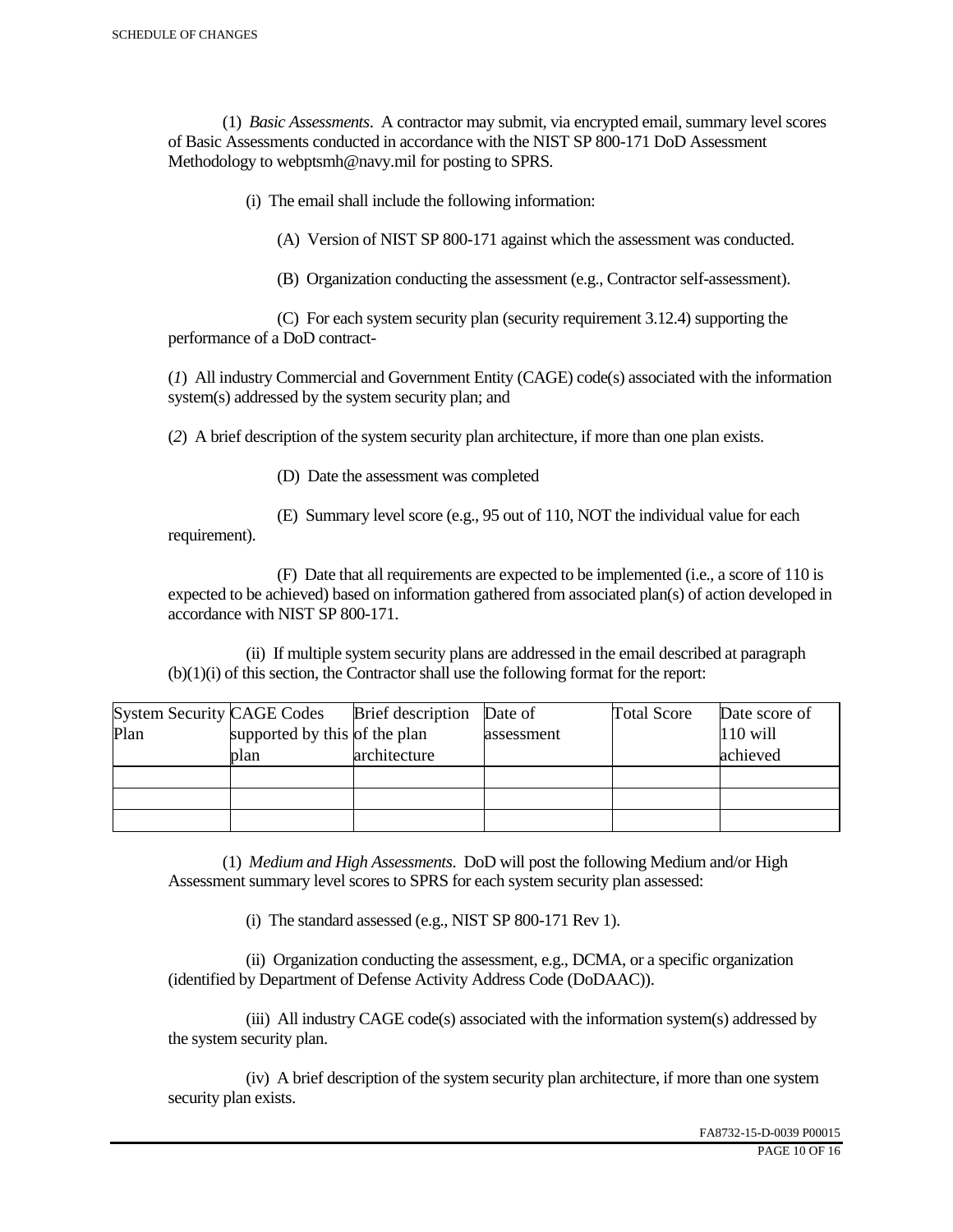(1) *Basic Assessments*. A contractor may submit, via encrypted email, summary level scores of Basic Assessments conducted in accordance with the NIST SP 800-171 DoD Assessment Methodology to webptsmh@navy.mil for posting to SPRS.

(i) The email shall include the following information:

(A) Version of NIST SP 800-171 against which the assessment was conducted.

(B) Organization conducting the assessment (e.g., Contractor self-assessment).

 (C) For each system security plan (security requirement 3.12.4) supporting the performance of a DoD contract-

(*1*) All industry Commercial and Government Entity (CAGE) code(s) associated with the information system(s) addressed by the system security plan; and

(*2*) A brief description of the system security plan architecture, if more than one plan exists.

(D) Date the assessment was completed

requirement).

(E) Summary level score (e.g., 95 out of 110, NOT the individual value for each

 (F) Date that all requirements are expected to be implemented (i.e., a score of 110 is expected to be achieved) based on information gathered from associated plan(s) of action developed in accordance with NIST SP 800-171.

 (ii) If multiple system security plans are addressed in the email described at paragraph (b)(1)(i) of this section, the Contractor shall use the following format for the report:

| <b>System Security CAGE Codes</b> |                               | <b>Brief</b> description | Date of    | <b>Total Score</b> | Date score of |
|-----------------------------------|-------------------------------|--------------------------|------------|--------------------|---------------|
| Plan                              | supported by this of the plan |                          | assessment |                    | $110$ will    |
|                                   | plan                          | architecture             |            |                    | achieved      |
|                                   |                               |                          |            |                    |               |
|                                   |                               |                          |            |                    |               |
|                                   |                               |                          |            |                    |               |

 (1) *Medium and High Assessments*. DoD will post the following Medium and/or High Assessment summary level scores to SPRS for each system security plan assessed:

(i) The standard assessed (e.g., NIST SP 800-171 Rev 1).

 (ii) Organization conducting the assessment, e.g., DCMA, or a specific organization (identified by Department of Defense Activity Address Code (DoDAAC)).

 (iii) All industry CAGE code(s) associated with the information system(s) addressed by the system security plan.

 (iv) A brief description of the system security plan architecture, if more than one system security plan exists.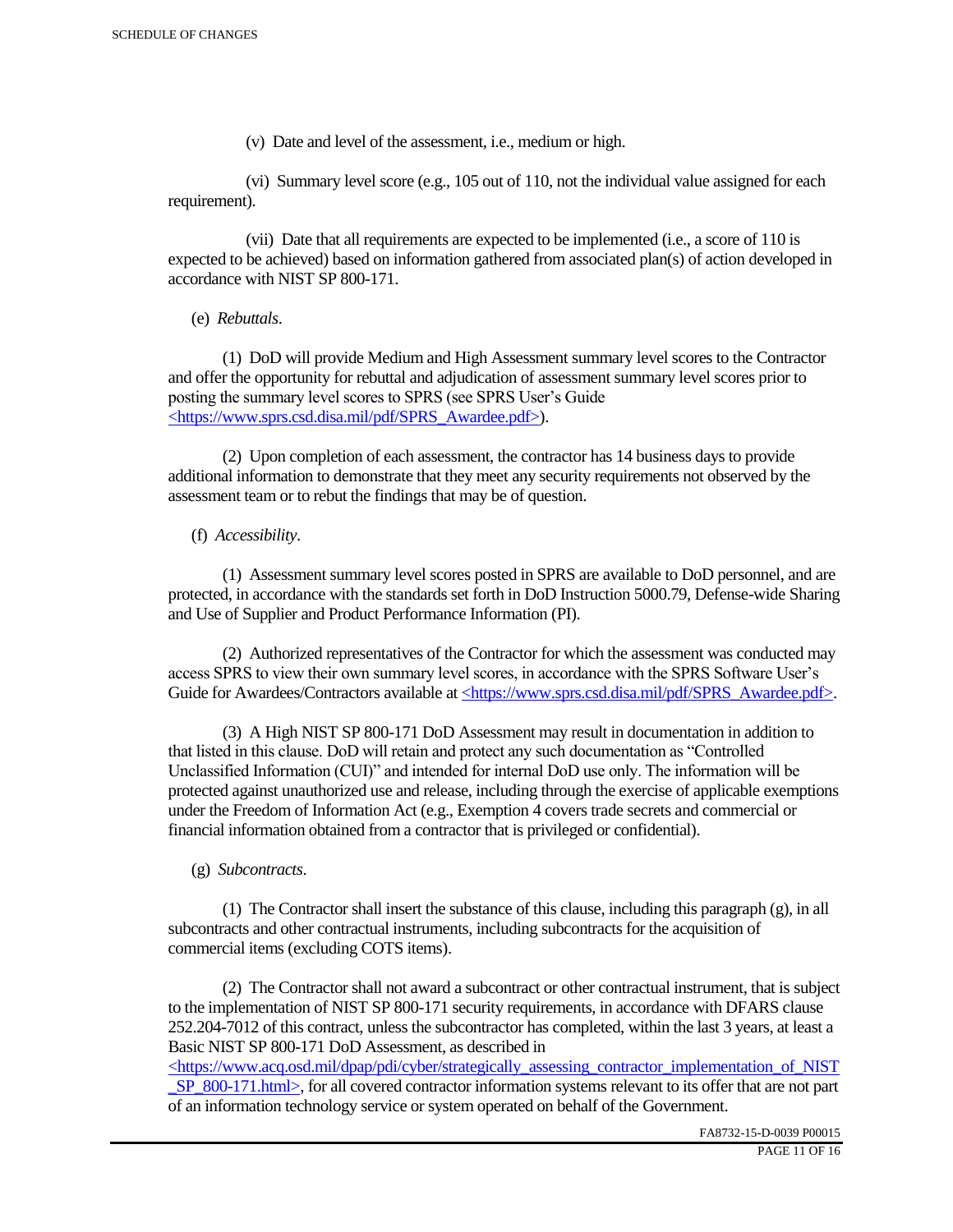(v) Date and level of the assessment, i.e., medium or high.

 (vi) Summary level score (e.g., 105 out of 110, not the individual value assigned for each requirement).

 (vii) Date that all requirements are expected to be implemented (i.e., a score of 110 is expected to be achieved) based on information gathered from associated plan(s) of action developed in accordance with NIST SP 800-171.

(e) *Rebuttals*.

 (1) DoD will provide Medium and High Assessment summary level scores to the Contractor and offer the opportunity for rebuttal and adjudication of assessment summary level scores prior to posting the summary level scores to SPRS (see SPRS User's Guide <https://www.sprs.csd.disa.mil/pdf/SPRS\_Awardee.pdf>).

 (2) Upon completion of each assessment, the contractor has 14 business days to provide additional information to demonstrate that they meet any security requirements not observed by the assessment team or to rebut the findings that may be of question.

# (f) *Accessibility*.

 (1) Assessment summary level scores posted in SPRS are available to DoD personnel, and are protected, in accordance with the standards set forth in DoD Instruction 5000.79, Defense-wide Sharing and Use of Supplier and Product Performance Information (PI).

 (2) Authorized representatives of the Contractor for which the assessment was conducted may access SPRS to view their own summary level scores, in accordance with the SPRS Software User's Guide for Awardees/Contractors available at <https://www.sprs.csd.disa.mil/pdf/SPRS\_Awardee.pdf>.

 (3) A High NIST SP 800-171 DoD Assessment may result in documentation in addition to that listed in this clause. DoD will retain and protect any such documentation as "Controlled Unclassified Information (CUI)" and intended for internal DoD use only. The information will be protected against unauthorized use and release, including through the exercise of applicable exemptions under the Freedom of Information Act (e.g., Exemption 4 covers trade secrets and commercial or financial information obtained from a contractor that is privileged or confidential).

# (g) *Subcontracts*.

(1) The Contractor shall insert the substance of this clause, including this paragraph  $(g)$ , in all subcontracts and other contractual instruments, including subcontracts for the acquisition of commercial items (excluding COTS items).

 (2) The Contractor shall not award a subcontract or other contractual instrument, that is subject to the implementation of NIST SP 800-171 security requirements, in accordance with DFARS clause 252.204-7012 of this contract, unless the subcontractor has completed, within the last 3 years, at least a Basic NIST SP 800-171 DoD Assessment, as described in

 $\langle$ https://www.acq.osd.mil/dpap/pdi/cyber/strategically\_assessing\_contractor\_implementation\_of\_NIST SP\_800-171.html>, for all covered contractor information systems relevant to its offer that are not part of an information technology service or system operated on behalf of the Government.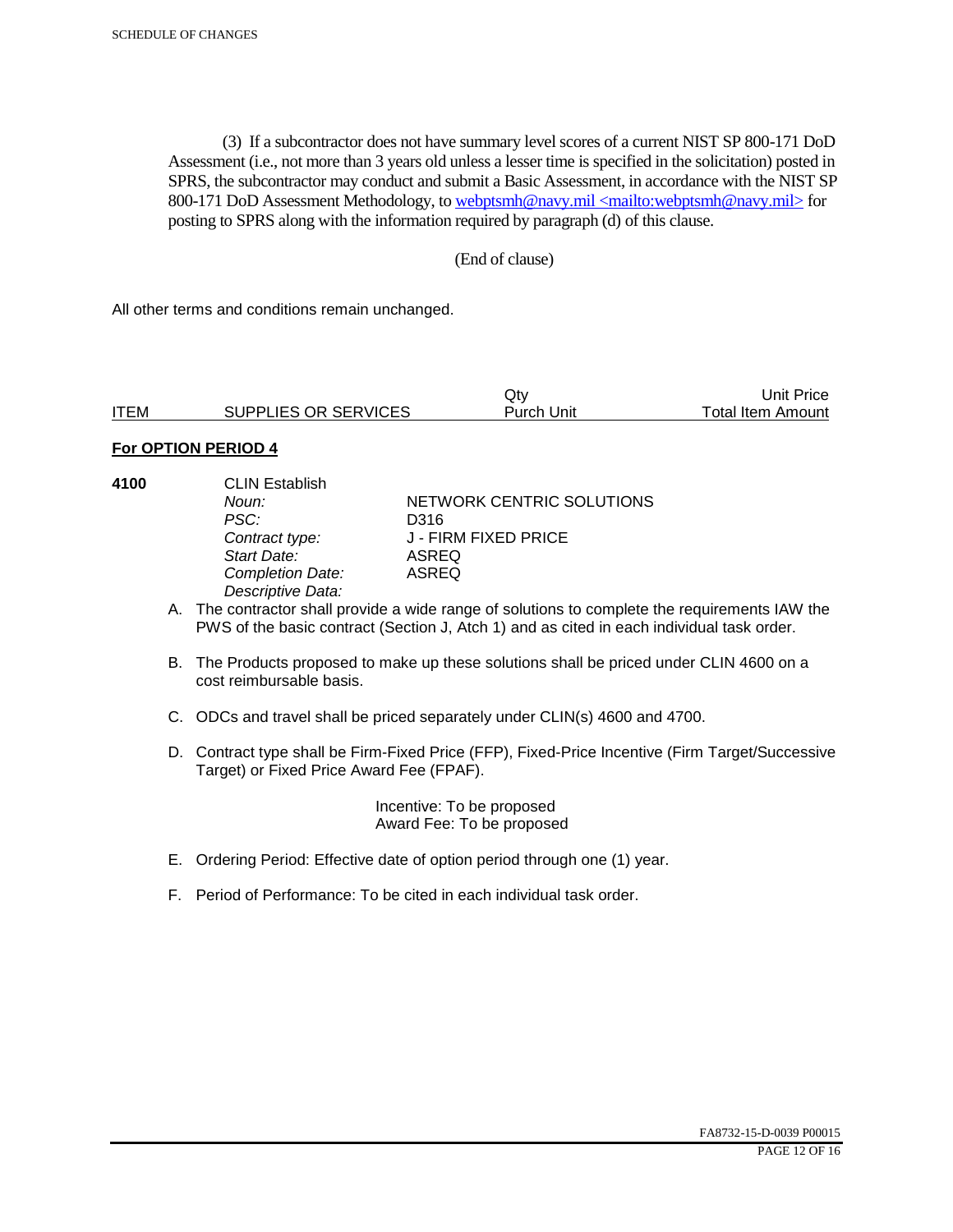(3) If a subcontractor does not have summary level scores of a current NIST SP 800-171 DoD Assessment (i.e., not more than 3 years old unless a lesser time is specified in the solicitation) posted in SPRS, the subcontractor may conduct and submit a Basic Assessment, in accordance with the NIST SP 800-171 DoD Assessment Methodology, to webptsmh@navy.mil <mailto:webptsmh@navy.mil> for posting to SPRS along with the information required by paragraph (d) of this clause.

#### (End of clause)

All other terms and conditions remain unchanged.

|             |                      | Jt۱        | Unit Price        |
|-------------|----------------------|------------|-------------------|
| <b>ITEM</b> | SUPPLIES OR SERVICES | Purch Unit | Total Item Amount |

#### **For OPTION PERIOD 4**

| 4100 | <b>CLIN Establish</b><br>Noun:<br>PSC:<br>Contract type:<br>Start Date:<br><b>Completion Date:</b><br>Descriptive Data: | NETWORK CENTRIC SOLUTIONS<br>D316<br>J - FIRM FIXED PRICE<br>ASREQ<br>ASREQ                                                                                                                 |
|------|-------------------------------------------------------------------------------------------------------------------------|---------------------------------------------------------------------------------------------------------------------------------------------------------------------------------------------|
|      |                                                                                                                         | A. The contractor shall provide a wide range of solutions to complete the requirements IAW the<br>PWS of the basic contract (Section J, Atch 1) and as cited in each individual task order. |
|      | cost reimbursable basis.                                                                                                | B. The Products proposed to make up these solutions shall be priced under CLIN 4600 on a                                                                                                    |
|      |                                                                                                                         | C. ODCs and travel shall be priced separately under CLIN(s) 4600 and 4700.                                                                                                                  |

D. Contract type shall be Firm-Fixed Price (FFP), Fixed-Price Incentive (Firm Target/Successive Target) or Fixed Price Award Fee (FPAF).

> Incentive: To be proposed Award Fee: To be proposed

- E. Ordering Period: Effective date of option period through one (1) year.
- F. Period of Performance: To be cited in each individual task order.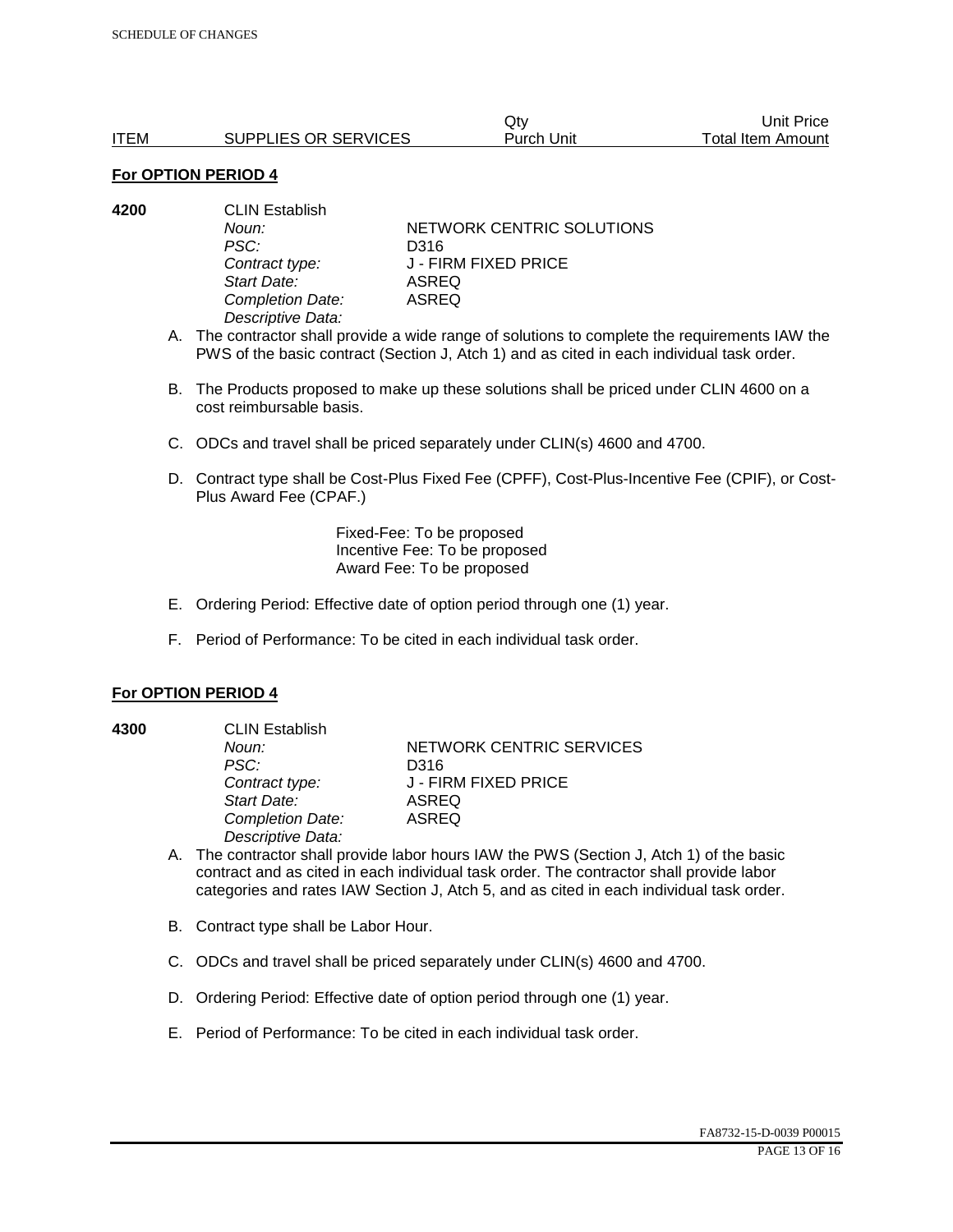|             |                      | Qtv        | Unit Price        |
|-------------|----------------------|------------|-------------------|
| <b>ITEM</b> | SUPPLIES OR SERVICES | Purch Unit | Total Item Amount |

| 4200 | <b>CLIN Establish</b> |                           |  |
|------|-----------------------|---------------------------|--|
|      | Noun:                 | NETWORK CENTRIC SOLUTIONS |  |
|      | PSC:                  | D316                      |  |
|      | Contract type:        | J - FIRM FIXED PRICE      |  |
|      | Start Date:           | ASREQ                     |  |
|      | Completion Date:      | ASREQ                     |  |
|      | Descriptive Data:     |                           |  |
|      |                       |                           |  |

- A. The contractor shall provide a wide range of solutions to complete the requirements IAW the PWS of the basic contract (Section J, Atch 1) and as cited in each individual task order.
- B. The Products proposed to make up these solutions shall be priced under CLIN 4600 on a cost reimbursable basis.
- C. ODCs and travel shall be priced separately under CLIN(s) 4600 and 4700.
- D. Contract type shall be Cost-Plus Fixed Fee (CPFF), Cost-Plus-Incentive Fee (CPIF), or Cost-Plus Award Fee (CPAF.)

Fixed-Fee: To be proposed Incentive Fee: To be proposed Award Fee: To be proposed

- E. Ordering Period: Effective date of option period through one (1) year.
- F. Period of Performance: To be cited in each individual task order.

#### **For OPTION PERIOD 4**

**4300** CLIN Establish

*PSC:* D316 *Start Date:* ASREQ *Completion Date:* ASREQ *Descriptive Data:* 

**Noun: NETWORK CENTRIC SERVICES** *Contract type:* J - FIRM FIXED PRICE

- A. The contractor shall provide labor hours IAW the PWS (Section J, Atch 1) of the basic contract and as cited in each individual task order. The contractor shall provide labor categories and rates IAW Section J, Atch 5, and as cited in each individual task order.
- B. Contract type shall be Labor Hour.
- C. ODCs and travel shall be priced separately under CLIN(s) 4600 and 4700.
- D. Ordering Period: Effective date of option period through one (1) year.
- E. Period of Performance: To be cited in each individual task order.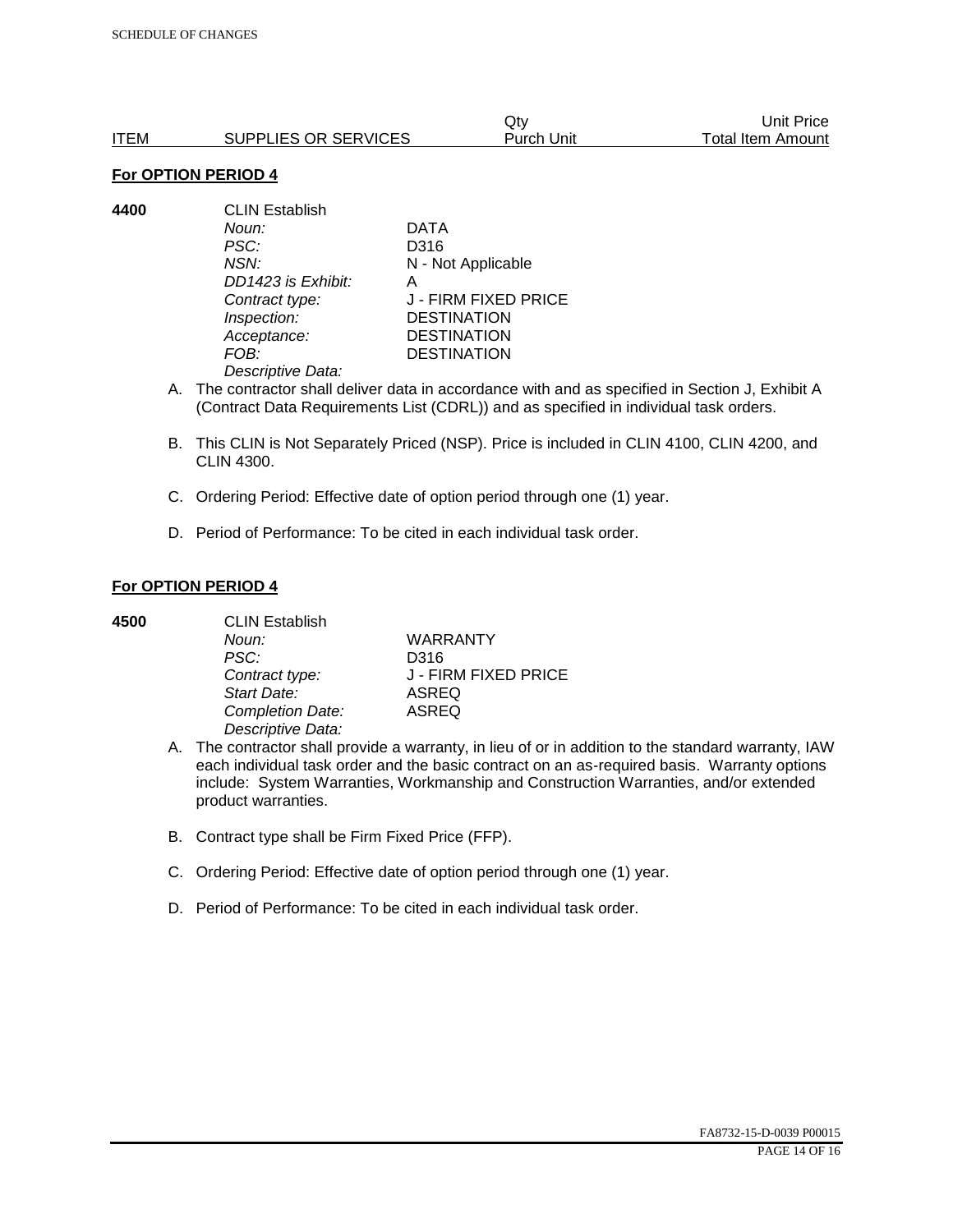|      |                      | Qtv        | Unit Price        |
|------|----------------------|------------|-------------------|
| ITEM | SUPPLIES OR SERVICES | Purch Unit | Total Item Amount |

**4400** CLIN Establish *Noun:* DATA *PSC:* D316 *NSN:* N - Not Applicable *DD1423 is Exhibit:* A *Contract type:* J - FIRM FIXED PRICE *Inspection:* DESTINATION *Acceptance:* DESTINATION *FOB:* DESTINATION *Descriptive Data:* 

- A. The contractor shall deliver data in accordance with and as specified in Section J, Exhibit A (Contract Data Requirements List (CDRL)) and as specified in individual task orders.
- B. This CLIN is Not Separately Priced (NSP). Price is included in CLIN 4100, CLIN 4200, and CLIN 4300.
- C. Ordering Period: Effective date of option period through one (1) year.
- D. Period of Performance: To be cited in each individual task order.

#### **For OPTION PERIOD 4**

| 4500 | <b>CLIN Establish</b> |                      |  |
|------|-----------------------|----------------------|--|
|      | Noun:                 | <b>WARRANTY</b>      |  |
|      | PSC:                  | D316                 |  |
|      | Contract type:        | J - FIRM FIXED PRICE |  |
|      | Start Date:           | <b>ASREQ</b>         |  |
|      | Completion Date:      | <b>ASREQ</b>         |  |
|      | Descriptive Data:     |                      |  |

- A. The contractor shall provide a warranty, in lieu of or in addition to the standard warranty, IAW each individual task order and the basic contract on an as-required basis. Warranty options include: System Warranties, Workmanship and Construction Warranties, and/or extended product warranties.
- B. Contract type shall be Firm Fixed Price (FFP).
- C. Ordering Period: Effective date of option period through one (1) year.
- D. Period of Performance: To be cited in each individual task order.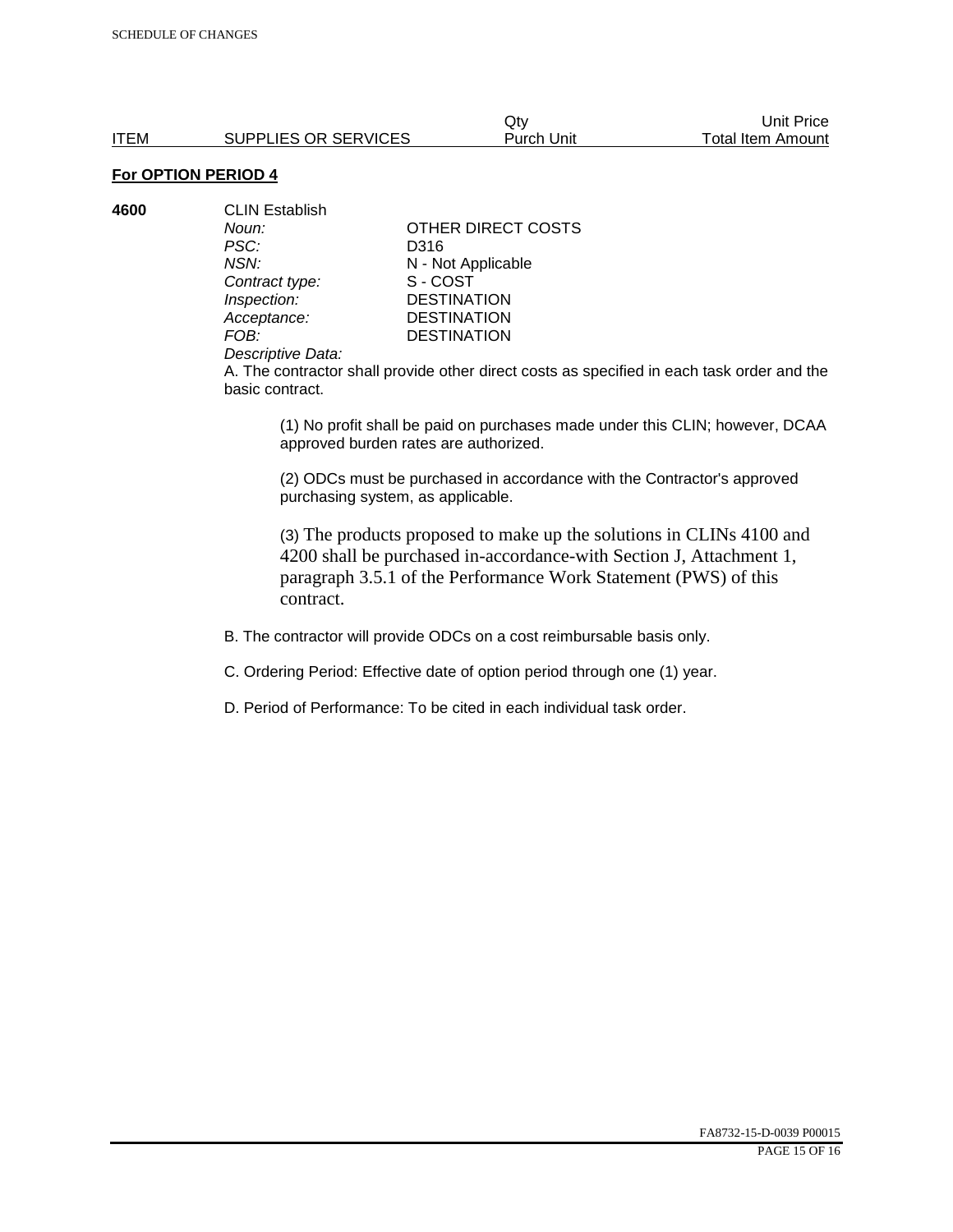**4600** CLIN Establish *PSC:* D316 **Contract type:** *Inspection:* DESTINATION<br> *Acceptance:* DESTINATION *Acceptance:* DESTINATION<br>FOB: DESTINATION

*Noun:* **CONTACT OTHER DIRECT COSTS** *NSN:* **N** - Not Applicable<br>
Contract type: S - COST **DESTINATION** 

#### *Descriptive Data:*

A. The contractor shall provide other direct costs as specified in each task order and the basic contract.

(1) No profit shall be paid on purchases made under this CLIN; however, DCAA approved burden rates are authorized.

(2) ODCs must be purchased in accordance with the Contractor's approved purchasing system, as applicable.

(3) The products proposed to make up the solutions in CLINs 4100 and 4200 shall be purchased in-accordance-with Section J, Attachment 1, paragraph 3.5.1 of the Performance Work Statement (PWS) of this contract.

B. The contractor will provide ODCs on a cost reimbursable basis only.

C. Ordering Period: Effective date of option period through one (1) year.

D. Period of Performance: To be cited in each individual task order.